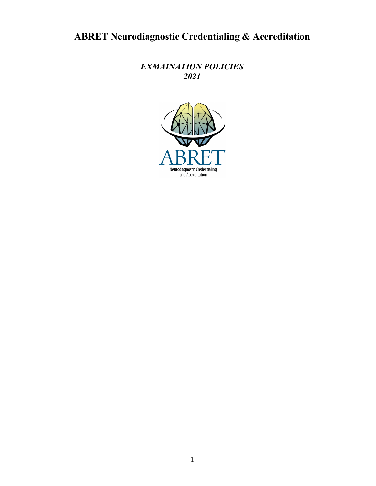# **ABRET Neurodiagnostic Credentialing & Accreditation**

*EXMAINATION POLICIES 2021*

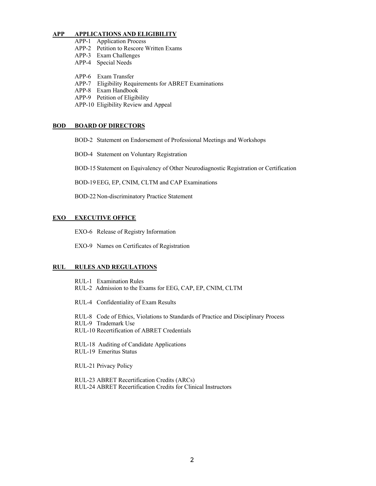#### **APP APPLICATIONS AND ELIGIBILITY**

- APP-1 Application Process
- APP-2 Petition to Rescore Written Exams
- APP-3 Exam Challenges
- APP-4 Special Needs
- 
- APP-6 Exam Transfer APP-7 Eligibility Requirements for ABRET Examinations
- APP-8 Exam Handbook
- APP-9 Petition of Eligibility
- APP-10 Eligibility Review and Appeal

#### **BOD BOARD OF DIRECTORS**

- BOD-2 Statement on Endorsement of Professional Meetings and Workshops
- BOD-4 Statement on Voluntary Registration

BOD-15 Statement on Equivalency of Other Neurodiagnostic Registration or Certification

BOD-19EEG, EP, CNIM, CLTM and CAP Examinations

BOD-22 Non-discriminatory Practice Statement

### **EXO EXECUTIVE OFFICE**

- EXO-6 Release of Registry Information
- EXO-9 Names on Certificates of Registration

#### **RUL RULES AND REGULATIONS**

RUL-1 Examination Rules RUL-2 Admission to the Exams for EEG, CAP, EP, CNIM, CLTM

RUL-4 Confidentiality of Exam Results

RUL-8 Code of Ethics, Violations to Standards of Practice and Disciplinary Process RUL-9 Trademark Use RUL-10 Recertification of ABRET Credentials

RUL-18 Auditing of Candidate Applications RUL-19 Emeritus Status

RUL-21 Privacy Policy

RUL-23 ABRET Recertification Credits (ARCs) RUL-24 ABRET Recertification Credits for Clinical Instructors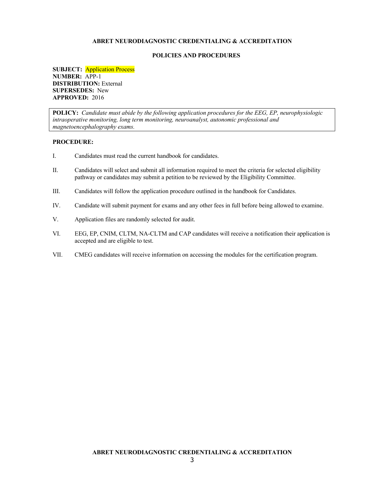#### **POLICIES AND PROCEDURES**

**SUBJECT:** Application Process **NUMBER:** APP-1 **DISTRIBUTION:** External **SUPERSEDES:** New **APPROVED:** 2016

**POLICY:** *Candidate must abide by the following application procedures for the EEG, EP, neurophysiologic intraoperative monitoring, long term monitoring, neuroanalyst, autonomic professional and magnetoencephalography exams.*

- I. Candidates must read the current handbook for candidates.
- II. Candidates will select and submit all information required to meet the criteria for selected eligibility pathway or candidates may submit a petition to be reviewed by the Eligibility Committee.
- III. Candidates will follow the application procedure outlined in the handbook for Candidates.
- IV. Candidate will submit payment for exams and any other fees in full before being allowed to examine.
- V. Application files are randomly selected for audit.
- VI. EEG, EP, CNIM, CLTM, NA-CLTM and CAP candidates will receive a notification their application is accepted and are eligible to test.
- VII. CMEG candidates will receive information on accessing the modules for the certification program.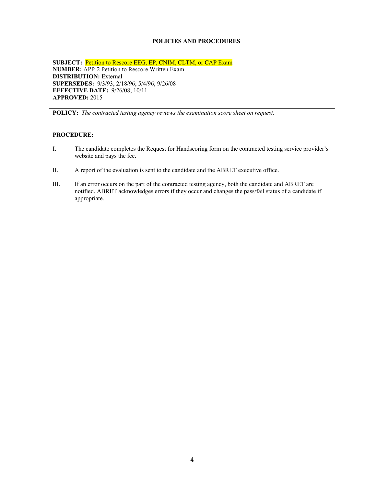## **POLICIES AND PROCEDURES**

**SUBJECT:** Petition to Rescore EEG, EP, CNIM, CLTM, or CAP Exam **NUMBER:** APP-2 Petition to Rescore Written Exam **DISTRIBUTION:** External **SUPERSEDES:** 9/3/93; 2/18/96; 5/4/96; 9/26/08 **EFFECTIVE DATE:** 9/26/08; 10/11 **APPROVED:** 2015

**POLICY:** *The contracted testing agency reviews the examination score sheet on request.*

- I. The candidate completes the Request for Handscoring form on the contracted testing service provider's website and pays the fee.
- II. A report of the evaluation is sent to the candidate and the ABRET executive office.
- III. If an error occurs on the part of the contracted testing agency, both the candidate and ABRET are notified. ABRET acknowledges errors if they occur and changes the pass/fail status of a candidate if appropriate.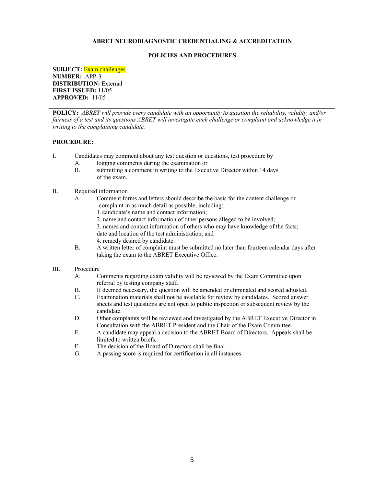#### **POLICIES AND PROCEDURES**

**SUBJECT:** Exam challenges **NUMBER:** APP-3 **DISTRIBUTION:** External **FIRST ISSUED:** 11/05 **APPROVED:** 11/05

**POLICY:** *ABRET will provide every candidate with an opportunity to question the reliability, validity, and/or fairness of a test and its questions ABRET will investigate each challenge or complaint and acknowledge it in writing to the complaining candidate.*

### **PROCEDURE:**

- I. Candidates may comment about any test question or questions, test procedure by
	- A. logging comments during the examination or
	- B. submitting a comment in writing to the Executive Director within 14 days of the exam.
- II. Required information
	- A. Comment forms and letters should describe the basis for the content challenge or complaint in as much detail as possible, including:
		- 1. candidate's name and contact information;
		- 2. name and contact information of other persons alleged to be involved;
		- 3. names and contact information of others who may have knowledge of the facts;
		- date and location of the test administration; and
		- 4. remedy desired by candidate.
	- B. A written letter of complaint must be submitted no later than fourteen calendar days after taking the exam to the ABRET Executive Office.

#### III. Procedure

- A. Comments regarding exam validity will be reviewed by the Exam Committee upon referral by testing company staff.
- B. If deemed necessary, the question will be amended or eliminated and scored adjusted.
- C. Examination materials shall not be available for review by candidates. Scored answer sheets and test questions are not open to public inspection or subsequent review by the candidate.
- D. Other complaints will be reviewed and investigated by the ABRET Executive Director in Consultation with the ABRET President and the Chair of the Exam Committee.
- E. A candidate may appeal a decision to the ABRET Board of Directors. Appeals shall be limited to written briefs.
- F. The decision of the Board of Directors shall be final.
- G. A passing score is required for certification in all instances.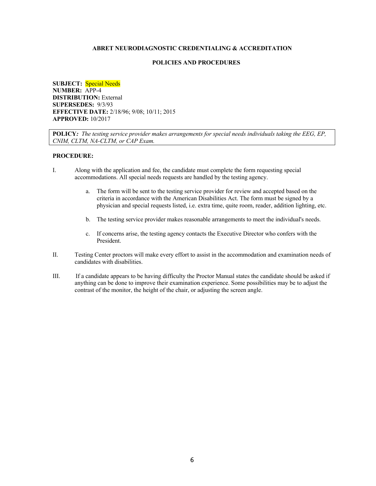### **POLICIES AND PROCEDURES**

**SUBJECT:** Special Needs **NUMBER:** APP-4 **DISTRIBUTION:** External **SUPERSEDES:** 9/3/93 **EFFECTIVE DATE:** 2/18/96; 9/08; 10/11; 2015 **APPROVED:** 10/2017

**POLICY***: The testing service provider makes arrangements for special needs individuals taking the EEG, EP, CNIM, CLTM, NA-CLTM, or CAP Exam.*

- I. Along with the application and fee, the candidate must complete the form requesting special accommodations. All special needs requests are handled by the testing agency.
	- a. The form will be sent to the testing service provider for review and accepted based on the criteria in accordance with the American Disabilities Act. The form must be signed by a physician and special requests listed, i.e. extra time, quite room, reader, addition lighting, etc.
	- b. The testing service provider makes reasonable arrangements to meet the individual's needs.
	- c. If concerns arise, the testing agency contacts the Executive Director who confers with the President.
- II. Testing Center proctors will make every effort to assist in the accommodation and examination needs of candidates with disabilities.
- III. If a candidate appears to be having difficulty the Proctor Manual states the candidate should be asked if anything can be done to improve their examination experience. Some possibilities may be to adjust the contrast of the monitor, the height of the chair, or adjusting the screen angle.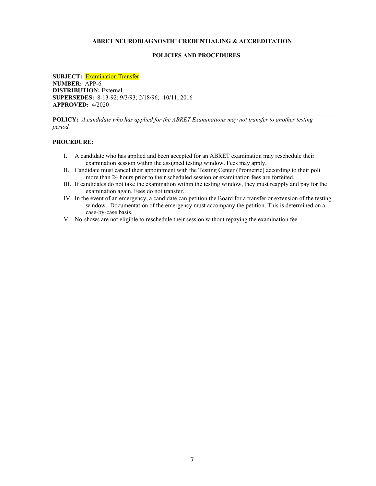#### **POLICIES AND PROCEDURES**

**SUBJECT:** Examination Transfer **NUMBER:** APP-6 **DISTRIBUTION:** External **SUPERSEDES:** 8-13-92; 9/3/93; 2/18/96; 10/11; 2016 **APPROVED:** 4/2020

**POLICY:** *A candidate who has applied for the ABRET Examinations may not transfer to another testing period.*

- I. A candidate who has applied and been accepted for an ABRET examination may reschedule their examination session within the assigned testing window. Fees may apply.
- II. Candidate must cancel their appointment with the Testing Center (Prometric) according to their poli more than 24 hours prior to their scheduled session or examination fees are forfeited.
- III. If candidates do not take the examination within the testing window, they must reapply and pay for the examination again. Fees do not transfer.
- IV. In the event of an emergency, a candidate can petition the Board for a transfer or extension of the testing window. Documentation of the emergency must accompany the petition. This is determined on a case-by-case basis.
- V. No-shows are not eligible to reschedule their session without repaying the examination fee.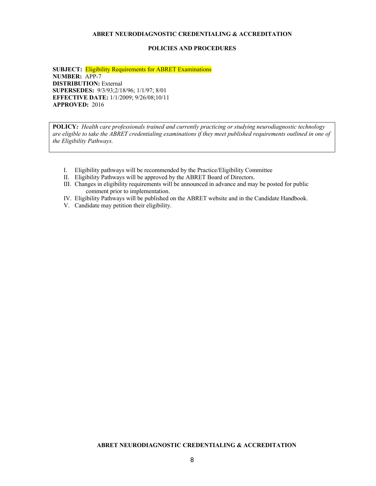#### **POLICIES AND PROCEDURES**

**SUBJECT:** Eligibility Requirements for ABRET Examinations **NUMBER:** APP-7 **DISTRIBUTION:** External **SUPERSEDES:** 9/3/93;2/18/96; 1/1/97; 8/01 **EFFECTIVE DATE:** 1/1/2009; 9/26/08;10/11 **APPROVED:** 2016

**POLICY***: Health care professionals trained and currently practicing or studying neurodiagnostic technology are eligible to take the ABRET credentialing examinations if they meet published requirements outlined in one of the Eligibility Pathways.*

- I. Eligibility pathways will be recommended by the Practice/Eligibility Committee
- II. Eligibility Pathways will be approved by the ABRET Board of Directors.
- III. Changes in eligibility requirements will be announced in advance and may be posted for public comment prior to implementation.
- IV. Eligibility Pathways will be published on the ABRET website and in the Candidate Handbook.
- V. Candidate may petition their eligibility.

## **ABRET NEURODIAGNOSTIC CREDENTIALING & ACCREDITATION**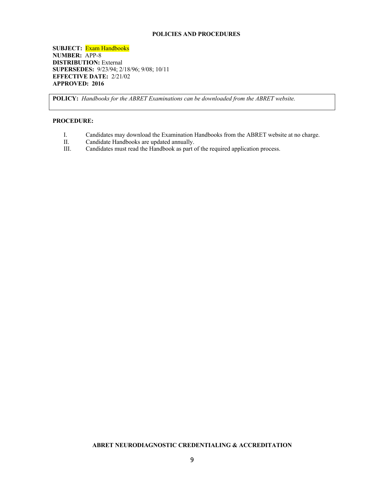## **POLICIES AND PROCEDURES**

**SUBJECT:** Exam Handbooks **NUMBER:** APP-8 **DISTRIBUTION:** External **SUPERSEDES:** 9/23/94; 2/18/96; 9/08; 10/11 **EFFECTIVE DATE:** 2/21/02 **APPROVED: 2016**

**POLICY:** *Handbooks for the ABRET Examinations can be downloaded from the ABRET website.*

## **PROCEDURE:**

- I. Candidates may download the Examination Handbooks from the ABRET website at no charge.
- II. Candidate Handbooks are updated annually.<br>III. Candidates must read the Handbook as part of
- Candidates must read the Handbook as part of the required application process.

## **ABRET NEURODIAGNOSTIC CREDENTIALING & ACCREDITATION**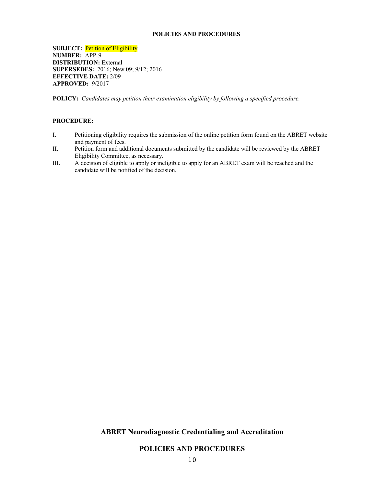### **POLICIES AND PROCEDURES**

**SUBJECT:** Petition of Eligibility **NUMBER:** APP-9 **DISTRIBUTION:** External **SUPERSEDES:** 2016; New 09; 9/12; 2016 **EFFECTIVE DATE:** 2/09 **APPROVED:** 9/2017

**POLICY:** *Candidates may petition their examination eligibility by following a specified procedure.*

#### **PROCEDURE:**

- I. Petitioning eligibility requires the submission of the online petition form found on the ABRET website and payment of fees.
- II. Petition form and additional documents submitted by the candidate will be reviewed by the ABRET Eligibility Committee, as necessary.
- III. A decision of eligible to apply or ineligible to apply for an ABRET exam will be reached and the candidate will be notified of the decision.

## **ABRET Neurodiagnostic Credentialing and Accreditation**

**POLICIES AND PROCEDURES**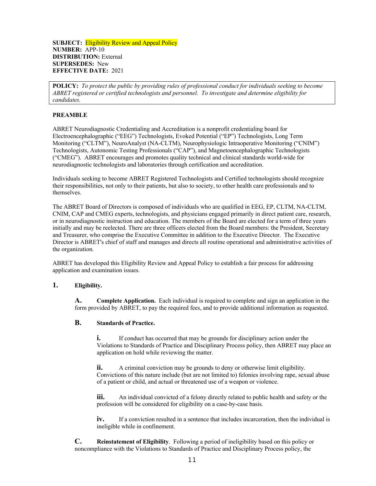### **SUBJECT:** Eligibility Review and Appeal Policy **NUMBER:** APP-10 **DISTRIBUTION:** External **SUPERSEDES:** New **EFFECTIVE DATE:** 2021

**POLICY:** *To protect the public by providing rules of professional conduct for individuals seeking to become ABRET registered or certified technologists and personnel. To investigate and determine eligibility for candidates.*

## **PREAMBLE**

ABRET Neurodiagnostic Credentialing and Accreditation is a nonprofit credentialing board for Electroencephalographic ("EEG") Technologists, Evoked Potential ("EP") Technologists, Long Term Monitoring ("CLTM"), NeuroAnalyst (NA-CLTM), Neurophysiologic Intraoperative Monitoring ("CNIM") Technologists, Autonomic Testing Professionals ("CAP"), and Magnetoencephalographic Technologists ("CMEG"). ABRET encourages and promotes quality technical and clinical standards world-wide for neurodiagnostic technologists and laboratories through certification and accreditation.

Individuals seeking to become ABRET Registered Technologists and Certified technologists should recognize their responsibilities, not only to their patients, but also to society, to other health care professionals and to themselves.

The ABRET Board of Directors is composed of individuals who are qualified in EEG, EP, CLTM, NA-CLTM, CNIM, CAP and CMEG experts, technologists, and physicians engaged primarily in direct patient care, research, or in neurodiagnostic instruction and education. The members of the Board are elected for a term of three years initially and may be reelected. There are three officers elected from the Board members: the President, Secretary and Treasurer, who comprise the Executive Committee in addition to the Executive Director. The Executive Director is ABRET's chief of staff and manages and directs all routine operational and administrative activities of the organization.

ABRET has developed this Eligibility Review and Appeal Policy to establish a fair process for addressing application and examination issues.

## **1. Eligibility.**

**A. Complete Application.** Each individual is required to complete and sign an application in the form provided by ABRET, to pay the required fees, and to provide additional information as requested.

## **B. Standards of Practice.**

**i.** If conduct has occurred that may be grounds for disciplinary action under the Violations to Standards of Practice and Disciplinary Process policy, then ABRET may place an application on hold while reviewing the matter.

**ii.** A criminal conviction may be grounds to deny or otherwise limit eligibility. Convictions of this nature include (but are not limited to) felonies involving rape, sexual abuse of a patient or child, and actual or threatened use of a weapon or violence.

**iii.** An individual convicted of a felony directly related to public health and safety or the profession will be considered for eligibility on a case-by-case basis.

**iv.** If a conviction resulted in a sentence that includes incarceration, then the individual is ineligible while in confinement.

**C. Reinstatement of Eligibility**. Following a period of ineligibility based on this policy or noncompliance with the Violations to Standards of Practice and Disciplinary Process policy, the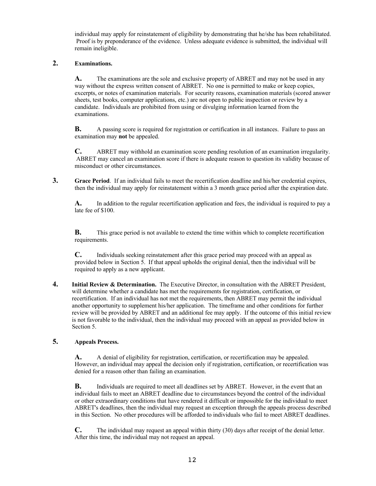individual may apply for reinstatement of eligibility by demonstrating that he/she has been rehabilitated. Proof is by preponderance of the evidence. Unless adequate evidence is submitted, the individual will remain ineligible.

## **2. Examinations.**

**A.** The examinations are the sole and exclusive property of ABRET and may not be used in any way without the express written consent of ABRET. No one is permitted to make or keep copies, excerpts, or notes of examination materials. For security reasons, examination materials (scored answer sheets, test books, computer applications, etc.) are not open to public inspection or review by a candidate. Individuals are prohibited from using or divulging information learned from the examinations.

**B.** A passing score is required for registration or certification in all instances. Failure to pass an examination may **not** be appealed.

**C.** ABRET may withhold an examination score pending resolution of an examination irregularity. ABRET may cancel an examination score if there is adequate reason to question its validity because of misconduct or other circumstances.

**3. Grace Period**. If an individual fails to meet the recertification deadline and his/her credential expires, then the individual may apply for reinstatement within a 3 month grace period after the expiration date.

**A.** In addition to the regular recertification application and fees, the individual is required to pay a late fee of \$100.

**B.** This grace period is not available to extend the time within which to complete recertification requirements.

**C.** Individuals seeking reinstatement after this grace period may proceed with an appeal as provided below in Section 5. If that appeal upholds the original denial, then the individual will be required to apply as a new applicant.

**4. Initial Review & Determination.** The Executive Director, in consultation with the ABRET President, will determine whether a candidate has met the requirements for registration, certification, or recertification. If an individual has not met the requirements, then ABRET may permit the individual another opportunity to supplement his/her application. The timeframe and other conditions for further review will be provided by ABRET and an additional fee may apply. If the outcome of this initial review is not favorable to the individual, then the individual may proceed with an appeal as provided below in Section 5.

## **5. Appeals Process.**

**A.** A denial of eligibility for registration, certification, or recertification may be appealed. However, an individual may appeal the decision only if registration, certification, or recertification was denied for a reason other than failing an examination.

**B.** Individuals are required to meet all deadlines set by ABRET. However, in the event that an individual fails to meet an ABRET deadline due to circumstances beyond the control of the individual or other extraordinary conditions that have rendered it difficult or impossible for the individual to meet ABRET's deadlines, then the individual may request an exception through the appeals process described in this Section. No other procedures will be afforded to individuals who fail to meet ABRET deadlines.

**C.** The individual may request an appeal within thirty (30) days after receipt of the denial letter. After this time, the individual may not request an appeal.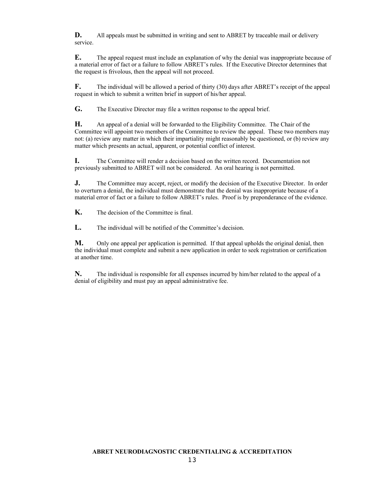**D.** All appeals must be submitted in writing and sent to ABRET by traceable mail or delivery service.

**E.** The appeal request must include an explanation of why the denial was inappropriate because of a material error of fact or a failure to follow ABRET's rules. If the Executive Director determines that the request is frivolous, then the appeal will not proceed.

**F.** The individual will be allowed a period of thirty (30) days after ABRET's receipt of the appeal request in which to submit a written brief in support of his/her appeal.

**G.** The Executive Director may file a written response to the appeal brief.

**H.** An appeal of a denial will be forwarded to the Eligibility Committee. The Chair of the Committee will appoint two members of the Committee to review the appeal. These two members may not: (a) review any matter in which their impartiality might reasonably be questioned, or (b) review any matter which presents an actual, apparent, or potential conflict of interest.

**I.** The Committee will render a decision based on the written record. Documentation not previously submitted to ABRET will not be considered. An oral hearing is not permitted.

**J.** The Committee may accept, reject, or modify the decision of the Executive Director. In order to overturn a denial, the individual must demonstrate that the denial was inappropriate because of a material error of fact or a failure to follow ABRET's rules. Proof is by preponderance of the evidence.

**K.** The decision of the Committee is final.

**L.** The individual will be notified of the Committee's decision.

**M.** Only one appeal per application is permitted. If that appeal upholds the original denial, then the individual must complete and submit a new application in order to seek registration or certification at another time.

**N.** The individual is responsible for all expenses incurred by him/her related to the appeal of a denial of eligibility and must pay an appeal administrative fee.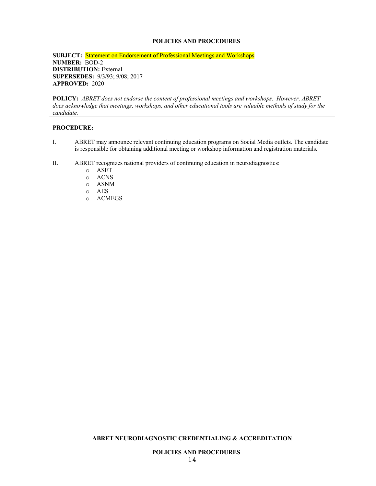## **POLICIES AND PROCEDURES**

## **SUBJECT:** Statement on Endorsement of Professional Meetings and Workshops **NUMBER:** BOD-2 **DISTRIBUTION:** External **SUPERSEDES:** 9/3/93; 9/08; 2017 **APPROVED:** 2020

**POLICY:** *ABRET does not endorse the content of professional meetings and workshops. However, ABRET does acknowledge that meetings, workshops, and other educational tools are valuable methods of study for the candidate.* 

#### **PROCEDURE:**

- I. ABRET may announce relevant continuing education programs on Social Media outlets. The candidate is responsible for obtaining additional meeting or workshop information and registration materials.
- II. ABRET recognizes national providers of continuing education in neurodiagnostics:
	- o ASET
	- o ACNS
	- o ASNM
	- o AES
	- o ACMEGS

#### **ABRET NEURODIAGNOSTIC CREDENTIALING & ACCREDITATION**

## **POLICIES AND PROCEDURES**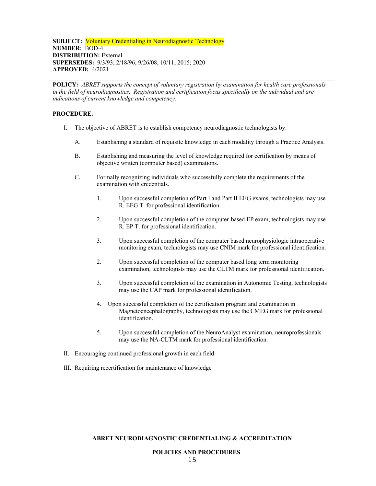## **SUBJECT:** Voluntary Credentialing in Neurodiagnostic Technology **NUMBER:** BOD-4 **DISTRIBUTION: External SUPERSEDES:** 9/3/93; 2/18/96; 9/26/08; 10/11; 2015; 2020 **APPROVED:** 4/2021

**POLICY***: ABRET supports the concept of voluntary registration by examination for health care professionals in the field of neurodiagnostics. Registration and certification focus specifically on the individual and are indications of current knowledge and competency.*

### **PROCEDURE**:

- I. The objective of ABRET is to establish competency neurodiagnostic technologists by:
	- A. Establishing a standard of requisite knowledge in each modality through a Practice Analysis.
	- B. Establishing and measuring the level of knowledge required for certification by means of objective written (computer based) examinations.
	- C. Formally recognizing individuals who successfully complete the requirements of the examination with credentials.
		- 1. Upon successful completion of Part I and Part II EEG exams, technologists may use R. EEG T. for professional identification.
		- 2. Upon successful completion of the computer-based EP exam, technologists may use R. EP T. for professional identification.
		- 3. Upon successful completion of the computer based neurophysiologic intraoperative monitoring exam, technologists may use CNIM mark for professional identification.
		- 2. Upon successful completion of the computer based long term monitoring examination, technologists may use the CLTM mark for professional identification.
		- 3. Upon successful completion of the examination in Autonomic Testing, technologists may use the CAP mark for professional identification.
		- 4. Upon successful completion of the certification program and examination in Magnetoencephalography, technologists may use the CMEG mark for professional identification.
		- 5. Upon successful completion of the NeuroAnalyst examination, neuroprofessionals may use the NA-CLTM mark for professional identification.
- II. Encouraging continued professional growth in each field
- III. Requiring recertification for maintenance of knowledge

#### **ABRET NEURODIAGNOSTIC CREDENTIALING & ACCREDITATION**

#### **POLICIES AND PROCEDURES**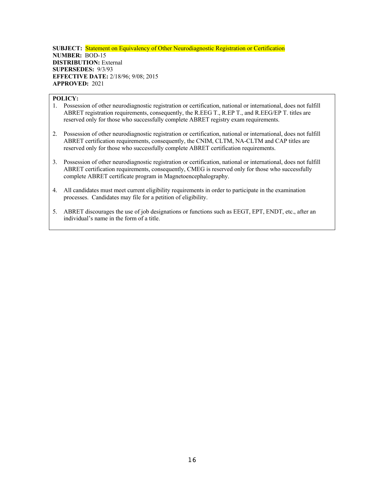## **SUBJECT:** Statement on Equivalency of Other Neurodiagnostic Registration or Certification **NUMBER:** BOD-15 **DISTRIBUTION:** External **SUPERSEDES:** 9/3/93 **EFFECTIVE DATE:** 2/18/96; 9/08; 2015 **APPROVED:** 2021

## **POLICY:**

- 1. Possession of other neurodiagnostic registration or certification, national or international, does not fulfill ABRET registration requirements, consequently, the R.EEG T., R.EP T., and R.EEG/EP T. titles are reserved only for those who successfully complete ABRET registry exam requirements.
- 2. Possession of other neurodiagnostic registration or certification, national or international, does not fulfill ABRET certification requirements, consequently, the CNIM, CLTM, NA-CLTM and CAP titles are reserved only for those who successfully complete ABRET certification requirements.
- 3. Possession of other neurodiagnostic registration or certification, national or international, does not fulfill ABRET certification requirements, consequently, CMEG is reserved only for those who successfully complete ABRET certificate program in Magnetoencephalography.
- 4. All candidates must meet current eligibility requirements in order to participate in the examination processes. Candidates may file for a petition of eligibility.
- 5. ABRET discourages the use of job designations or functions such as EEGT, EPT, ENDT, etc., after an individual's name in the form of a title.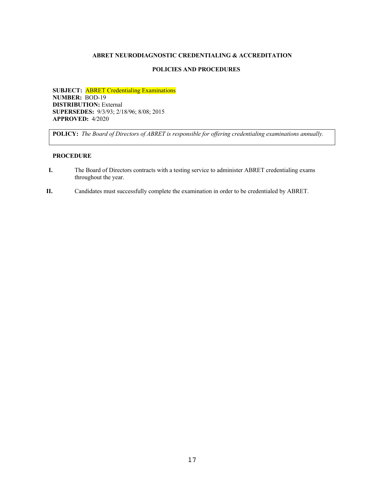## **POLICIES AND PROCEDURES**

**SUBJECT:** ABRET Credentialing Examinations **NUMBER:** BOD-19 **DISTRIBUTION:** External **SUPERSEDES:** 9/3/93; 2/18/96; 8/08; 2015 **APPROVED:** 4/2020

**POLICY:** *The Board of Directors of ABRET is responsible for offering credentialing examinations annually.*

- **I.** The Board of Directors contracts with a testing service to administer ABRET credentialing exams throughout the year.
- **II.** Candidates must successfully complete the examination in order to be credentialed by ABRET.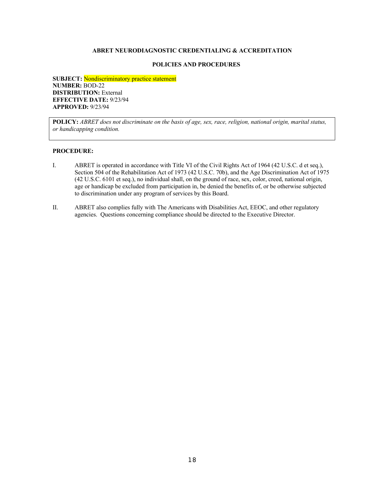#### **POLICIES AND PROCEDURES**

**SUBJECT:** Nondiscriminatory practice statement **NUMBER:** BOD-22 **DISTRIBUTION: External EFFECTIVE DATE:** 9/23/94 **APPROVED:** 9/23/94

**POLICY:** *ABRET does not discriminate on the basis of age, sex, race, religion, national origin, marital status, or handicapping condition.*

- I. ABRET is operated in accordance with Title VI of the Civil Rights Act of 1964 (42 U.S.C. d et seq.), Section 504 of the Rehabilitation Act of 1973 (42 U.S.C. 70b), and the Age Discrimination Act of 1975 (42 U.S.C. 6101 et seq.), no individual shall, on the ground of race, sex, color, creed, national origin, age or handicap be excluded from participation in, be denied the benefits of, or be otherwise subjected to discrimination under any program of services by this Board.
- II. ABRET also complies fully with The Americans with Disabilities Act, EEOC, and other regulatory agencies. Questions concerning compliance should be directed to the Executive Director.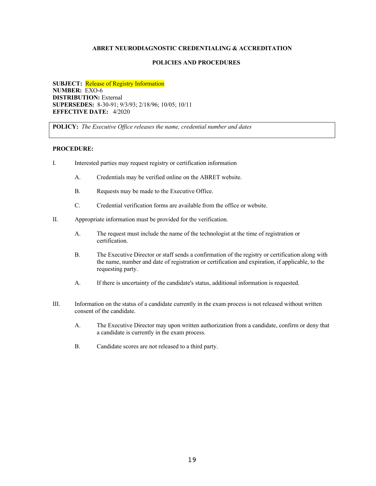### **POLICIES AND PROCEDURES**

**SUBJECT:** Release of Registry Information **NUMBER:** EXO-6 **DISTRIBUTION:** External **SUPERSEDES:** 8-30-91; 9/3/93; 2/18/96; 10/05; 10/11 **EFFECTIVE DATE:** 4/2020

**POLICY:** *The Executive Office releases the name, credential number and dates*

- I. Interested parties may request registry or certification information
	- A. Credentials may be verified online on the ABRET website.
	- B. Requests may be made to the Executive Office.
	- C. Credential verification forms are available from the office or website.
- II. Appropriate information must be provided for the verification.
	- A. The request must include the name of the technologist at the time of registration or certification.
	- B. The Executive Director or staff sends a confirmation of the registry or certification along with the name, number and date of registration or certification and expiration, if applicable, to the requesting party.
	- A. If there is uncertainty of the candidate's status, additional information is requested.
- III. Information on the status of a candidate currently in the exam process is not released without written consent of the candidate.
	- A. The Executive Director may upon written authorization from a candidate, confirm or deny that a candidate is currently in the exam process.
	- B. Candidate scores are not released to a third party.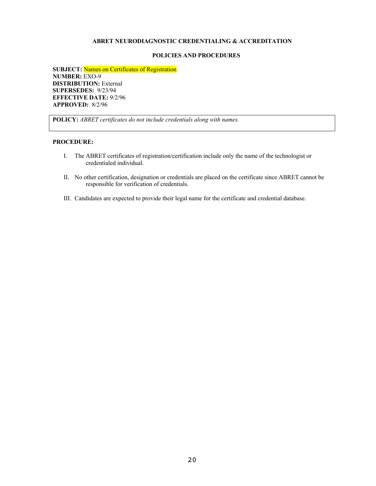#### **POLICIES AND PROCEDURES**

**SUBJECT:** Names on Certificates of Registration **NUMBER:** EXO-9 **DISTRIBUTION:** External **SUPERSEDES:** 9/23/94 **EFFECTIVE DATE:** 9/2/96 **APPROVED:** 8/2/96

**POLICY:** *ABRET certificates do not include credentials along with names.*

- I. The ABRET certificates of registration/certification include only the name of the technologist or credentialed individual.
- II. No other certification, designation or credentials are placed on the certificate since ABRET cannot be responsible for verification of credentials.
- III. Candidates are expected to provide their legal name for the certificate and credential database.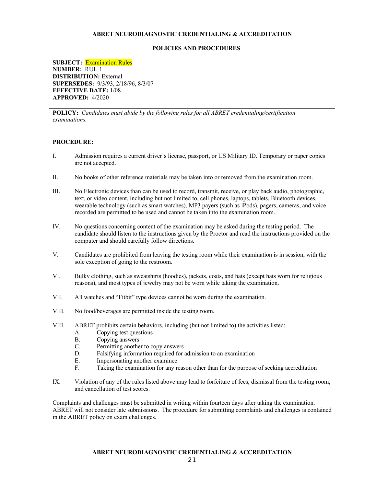#### **POLICIES AND PROCEDURES**

**SUBJECT:** Examination Rules **NUMBER:** RUL-1 **DISTRIBUTION:** External **SUPERSEDES:** 9/3/93, 2/18/96, 8/3/07 **EFFECTIVE DATE:** 1/08 **APPROVED:** 4/2020

**POLICY:** *Candidates must abide by the following rules for all ABRET credentialing/certification examinations.*

#### **PROCEDURE:**

- I. Admission requires a current driver's license, passport, or US Military ID. Temporary or paper copies are not accepted.
- II. No books of other reference materials may be taken into or removed from the examination room.
- III. No Electronic devices than can be used to record, transmit, receive, or play back audio, photographic, text, or video content, including but not limited to, cell phones, laptops, tablets, Bluetooth devices, wearable technology (such as smart watches), MP3 payers (such as iPods), pagers, cameras, and voice recorded are permitted to be used and cannot be taken into the examination room.
- IV. No questions concerning content of the examination may be asked during the testing period. The candidate should listen to the instructions given by the Proctor and read the instructions provided on the computer and should carefully follow directions.
- V. Candidates are prohibited from leaving the testing room while their examination is in session, with the sole exception of going to the restroom.
- VI. Bulky clothing, such as sweatshirts (hoodies), jackets, coats, and hats (except hats worn for religious reasons), and most types of jewelry may not be worn while taking the examination.
- VII. All watches and "Fitbit" type devices cannot be worn during the examination.
- VIII. No food/beverages are permitted inside the testing room.
- VIII. ABRET prohibits certain behaviors, including (but not limited to) the activities listed:
	- A. Copying test questions
	- B. Copying answers
	- C. Permitting another to copy answers
	- D. Falsifying information required for admission to an examination
	- E. Impersonating another examinee
	- F. Taking the examination for any reason other than for the purpose of seeking accreditation
- IX. Violation of any of the rules listed above may lead to forfeiture of fees, dismissal from the testing room, and cancellation of test scores.

Complaints and challenges must be submitted in writing within fourteen days after taking the examination. ABRET will not consider late submissions. The procedure for submitting complaints and challenges is contained in the ABRET policy on exam challenges.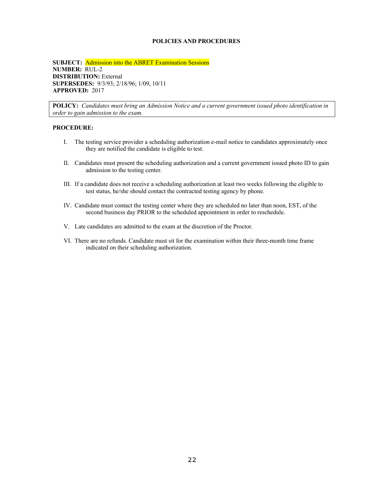## **POLICIES AND PROCEDURES**

**SUBJECT:** Admission into the ABRET Examination Sessions **NUMBER:** RUL-2 **DISTRIBUTION:** External **SUPERSEDES:** 9/3/93; 2/18/96; 1/09, 10/11 **APPROVED:** 2017

**POLICY:** *Candidates must bring an Admission Notice and a current government issued photo identification in order to gain admission to the exam.*

- I. The testing service provider a scheduling authorization e-mail notice to candidates approximately once they are notified the candidate is eligible to test.
- II. Candidates must present the scheduling authorization and a current government issued photo ID to gain admission to the testing center.
- III. If a candidate does not receive a scheduling authorization at least two weeks following the eligible to test status, he/she should contact the contracted testing agency by phone.
- IV. Candidate must contact the testing center where they are scheduled no later than noon, EST, of the second business day PRIOR to the scheduled appointment in order to reschedule.
- V. Late candidates are admitted to the exam at the discretion of the Proctor.
- VI. There are no refunds. Candidate must sit for the examination within their three-month time frame indicated on their scheduling authorization.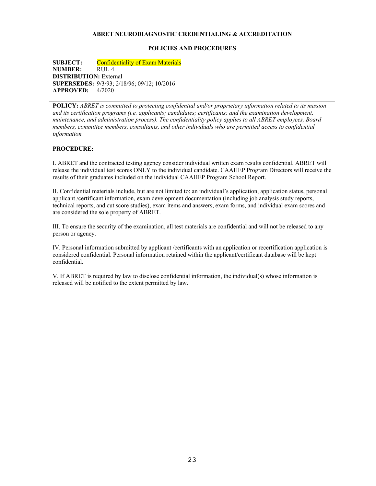## **POLICIES AND PROCEDURES**

**SUBJECT:** Confidentiality of Exam Materials **NUMBER:** RUL-4 **DISTRIBUTION:** External **SUPERSEDES:** 9/3/93; 2/18/96; 09/12; 10/2016 **APPROVED:** 4/2020

**POLICY:** *ABRET is committed to protecting confidential and/or proprietary information related to its mission and its certification programs (i.e. applicants; candidates; certificants; and the examination development, maintenance, and administration process). The confidentiality policy applies to all ABRET employees, Board members, committee members, consultants, and other individuals who are permitted access to confidential information.*

#### **PROCEDURE:**

I. ABRET and the contracted testing agency consider individual written exam results confidential. ABRET will release the individual test scores ONLY to the individual candidate. CAAHEP Program Directors will receive the results of their graduates included on the individual CAAHEP Program School Report.

II. Confidential materials include, but are not limited to: an individual's application, application status, personal applicant /certificant information, exam development documentation (including job analysis study reports, technical reports, and cut score studies), exam items and answers, exam forms, and individual exam scores and are considered the sole property of ABRET.

III. To ensure the security of the examination, all test materials are confidential and will not be released to any person or agency.

IV. Personal information submitted by applicant /certificants with an application or recertification application is considered confidential. Personal information retained within the applicant/certificant database will be kept confidential.

V. If ABRET is required by law to disclose confidential information, the individual(s) whose information is released will be notified to the extent permitted by law.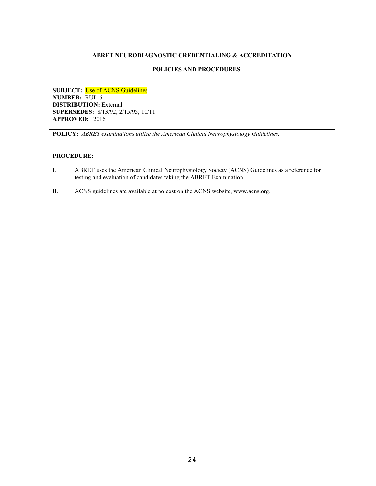## **POLICIES AND PROCEDURES**

**SUBJECT:** Use of ACNS Guidelines **NUMBER:** RUL-6 **DISTRIBUTION:** External **SUPERSEDES:** 8/13/92; 2/15/95; 10/11 **APPROVED:** 2016

**POLICY:** *ABRET examinations utilize the American Clinical Neurophysiology Guidelines.*

- I. ABRET uses the American Clinical Neurophysiology Society (ACNS) Guidelines as a reference for testing and evaluation of candidates taking the ABRET Examination.
- II. ACNS guidelines are available at no cost on the ACNS website, www.acns.org.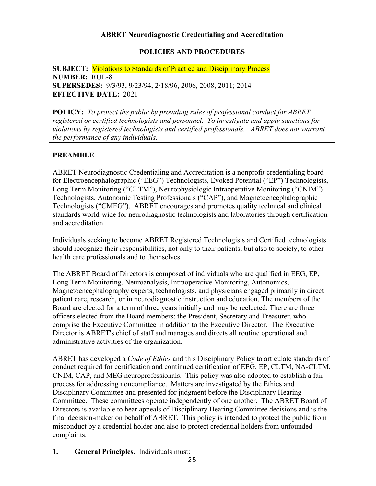## **ABRET Neurodiagnostic Credentialing and Accreditation**

## **POLICIES AND PROCEDURES**

**SUBJECT:** Violations to Standards of Practice and Disciplinary Process **NUMBER:** RUL-8 **SUPERSEDES:** 9/3/93, 9/23/94, 2/18/96, 2006, 2008, 2011; 2014 **EFFECTIVE DATE:** 2021

**POLICY:** *To protect the public by providing rules of professional conduct for ABRET registered or certified technologists and personnel. To investigate and apply sanctions for violations by registered technologists and certified professionals. ABRET does not warrant the performance of any individuals.*

## **PREAMBLE**

ABRET Neurodiagnostic Credentialing and Accreditation is a nonprofit credentialing board for Electroencephalographic ("EEG") Technologists, Evoked Potential ("EP") Technologists, Long Term Monitoring ("CLTM"), Neurophysiologic Intraoperative Monitoring ("CNIM") Technologists, Autonomic Testing Professionals ("CAP"), and Magnetoencephalographic Technologists ("CMEG"). ABRET encourages and promotes quality technical and clinical standards world-wide for neurodiagnostic technologists and laboratories through certification and accreditation.

Individuals seeking to become ABRET Registered Technologists and Certified technologists should recognize their responsibilities, not only to their patients, but also to society, to other health care professionals and to themselves.

The ABRET Board of Directors is composed of individuals who are qualified in EEG, EP, Long Term Monitoring, Neuroanalysis, Intraoperative Monitoring, Autonomics, Magnetoencephalography experts, technologists, and physicians engaged primarily in direct patient care, research, or in neurodiagnostic instruction and education. The members of the Board are elected for a term of three years initially and may be reelected. There are three officers elected from the Board members: the President, Secretary and Treasurer, who comprise the Executive Committee in addition to the Executive Director. The Executive Director is ABRET's chief of staff and manages and directs all routine operational and administrative activities of the organization.

ABRET has developed a *Code of Ethics* and this Disciplinary Policy to articulate standards of conduct required for certification and continued certification of EEG, EP, CLTM, NA-CLTM, CNIM, CAP, and MEG neuroprofessionals. This policy was also adopted to establish a fair process for addressing noncompliance. Matters are investigated by the Ethics and Disciplinary Committee and presented for judgment before the Disciplinary Hearing Committee. These committees operate independently of one another. The ABRET Board of Directors is available to hear appeals of Disciplinary Hearing Committee decisions and is the final decision-maker on behalf of ABRET. This policy is intended to protect the public from misconduct by a credential holder and also to protect credential holders from unfounded complaints.

**1. General Principles.** Individuals must: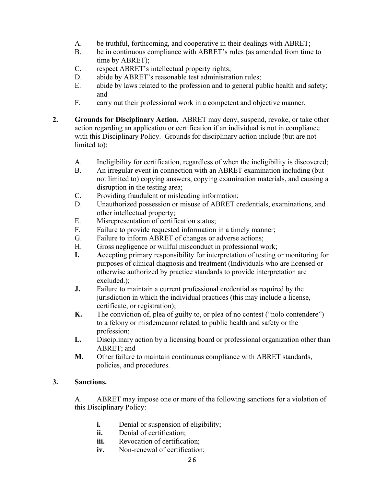- A. be truthful, forthcoming, and cooperative in their dealings with ABRET;
- B. be in continuous compliance with ABRET's rules (as amended from time to time by ABRET);
- C. respect ABRET's intellectual property rights;
- D. abide by ABRET's reasonable test administration rules;
- E. abide by laws related to the profession and to general public health and safety; and
- F. carry out their professional work in a competent and objective manner.
- **2. Grounds for Disciplinary Action.** ABRET may deny, suspend, revoke, or take other action regarding an application or certification if an individual is not in compliance with this Disciplinary Policy. Grounds for disciplinary action include (but are not limited to):
	- A. Ineligibility for certification, regardless of when the ineligibility is discovered;
	- B. An irregular event in connection with an ABRET examination including (but not limited to) copying answers, copying examination materials, and causing a disruption in the testing area;
	- C. Providing fraudulent or misleading information;
	- D. Unauthorized possession or misuse of ABRET credentials, examinations, and other intellectual property;
	- E. Misrepresentation of certification status;
	- F. Failure to provide requested information in a timely manner;
	- G. Failure to inform ABRET of changes or adverse actions;
	- H. Gross negligence or willful misconduct in professional work;
	- **I. A**ccepting primary responsibility for interpretation of testing or monitoring for purposes of clinical diagnosis and treatment (Individuals who are licensed or otherwise authorized by practice standards to provide interpretation are excluded.);
	- **J.** Failure to maintain a current professional credential as required by the jurisdiction in which the individual practices (this may include a license, certificate, or registration);
	- **K.** The conviction of, plea of guilty to, or plea of no contest ("nolo contendere") to a felony or misdemeanor related to public health and safety or the profession;
	- **L.** Disciplinary action by a licensing board or professional organization other than ABRET; and
	- **M.** Other failure to maintain continuous compliance with ABRET standards, policies, and procedures.

## **3. Sanctions.**

A. ABRET may impose one or more of the following sanctions for a violation of this Disciplinary Policy:

- **i.** Denial or suspension of eligibility;
- **ii.** Denial of certification;
- **iii.** Revocation of certification:
- **iv.** Non-renewal of certification;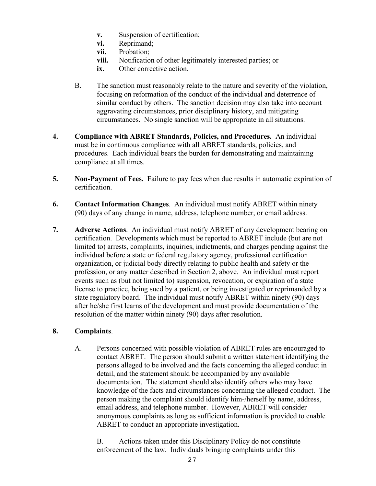- **v.** Suspension of certification;
- **vi.** Reprimand;
- **vii.** Probation;
- **viii.** Notification of other legitimately interested parties; or
- **ix.** Other corrective action.
- B. The sanction must reasonably relate to the nature and severity of the violation, focusing on reformation of the conduct of the individual and deterrence of similar conduct by others. The sanction decision may also take into account aggravating circumstances, prior disciplinary history, and mitigating circumstances. No single sanction will be appropriate in all situations.
- **4. Compliance with ABRET Standards, Policies, and Procedures.** An individual must be in continuous compliance with all ABRET standards, policies, and procedures. Each individual bears the burden for demonstrating and maintaining compliance at all times.
- **5. Non-Payment of Fees.** Failure to pay fees when due results in automatic expiration of certification.
- **6. Contact Information Changes**. An individual must notify ABRET within ninety (90) days of any change in name, address, telephone number, or email address.
- **7. Adverse Actions**. An individual must notify ABRET of any development bearing on certification. Developments which must be reported to ABRET include (but are not limited to) arrests, complaints, inquiries, indictments, and charges pending against the individual before a state or federal regulatory agency, professional certification organization, or judicial body directly relating to public health and safety or the profession, or any matter described in Section 2, above. An individual must report events such as (but not limited to) suspension, revocation, or expiration of a state license to practice, being sued by a patient, or being investigated or reprimanded by a state regulatory board. The individual must notify ABRET within ninety (90) days after he/she first learns of the development and must provide documentation of the resolution of the matter within ninety (90) days after resolution.

## **8. Complaints**.

A. Persons concerned with possible violation of ABRET rules are encouraged to contact ABRET. The person should submit a written statement identifying the persons alleged to be involved and the facts concerning the alleged conduct in detail, and the statement should be accompanied by any available documentation. The statement should also identify others who may have knowledge of the facts and circumstances concerning the alleged conduct. The person making the complaint should identify him-/herself by name, address, email address, and telephone number. However, ABRET will consider anonymous complaints as long as sufficient information is provided to enable ABRET to conduct an appropriate investigation.

B. Actions taken under this Disciplinary Policy do not constitute enforcement of the law. Individuals bringing complaints under this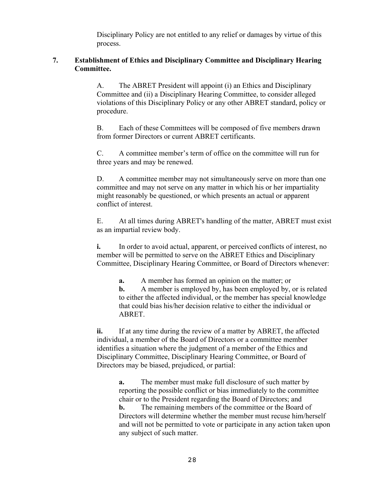Disciplinary Policy are not entitled to any relief or damages by virtue of this process.

## **7. Establishment of Ethics and Disciplinary Committee and Disciplinary Hearing Committee.**

A. The ABRET President will appoint (i) an Ethics and Disciplinary Committee and (ii) a Disciplinary Hearing Committee, to consider alleged violations of this Disciplinary Policy or any other ABRET standard, policy or procedure.

B. Each of these Committees will be composed of five members drawn from former Directors or current ABRET certificants.

C. A committee member's term of office on the committee will run for three years and may be renewed.

D. A committee member may not simultaneously serve on more than one committee and may not serve on any matter in which his or her impartiality might reasonably be questioned, or which presents an actual or apparent conflict of interest.

E. At all times during ABRET's handling of the matter, ABRET must exist as an impartial review body.

**i.** In order to avoid actual, apparent, or perceived conflicts of interest, no member will be permitted to serve on the ABRET Ethics and Disciplinary Committee, Disciplinary Hearing Committee, or Board of Directors whenever:

**a.** A member has formed an opinion on the matter; or **b.** A member is employed by, has been employed by, or is related to either the affected individual, or the member has special knowledge that could bias his/her decision relative to either the individual or ABRET.

**ii.** If at any time during the review of a matter by ABRET, the affected individual, a member of the Board of Directors or a committee member identifies a situation where the judgment of a member of the Ethics and Disciplinary Committee, Disciplinary Hearing Committee, or Board of Directors may be biased, prejudiced, or partial:

**a.** The member must make full disclosure of such matter by reporting the possible conflict or bias immediately to the committee chair or to the President regarding the Board of Directors; and **b.** The remaining members of the committee or the Board of Directors will determine whether the member must recuse him/herself and will not be permitted to vote or participate in any action taken upon any subject of such matter.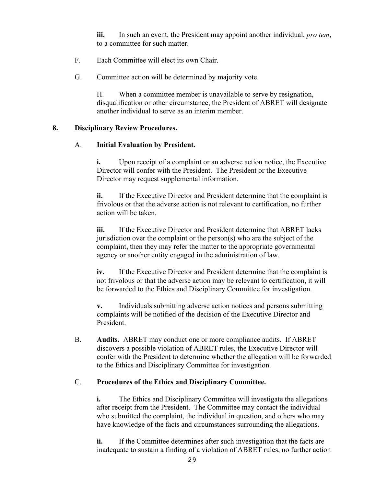**iii.** In such an event, the President may appoint another individual, *pro tem*, to a committee for such matter.

- F. Each Committee will elect its own Chair.
- G. Committee action will be determined by majority vote.

H. When a committee member is unavailable to serve by resignation, disqualification or other circumstance, the President of ABRET will designate another individual to serve as an interim member.

## **8. Disciplinary Review Procedures.**

## A. **Initial Evaluation by President.**

**i.** Upon receipt of a complaint or an adverse action notice, the Executive Director will confer with the President. The President or the Executive Director may request supplemental information.

**ii.** If the Executive Director and President determine that the complaint is frivolous or that the adverse action is not relevant to certification, no further action will be taken.

**iii.** If the Executive Director and President determine that ABRET lacks jurisdiction over the complaint or the person(s) who are the subject of the complaint, then they may refer the matter to the appropriate governmental agency or another entity engaged in the administration of law.

**iv.** If the Executive Director and President determine that the complaint is not frivolous or that the adverse action may be relevant to certification, it will be forwarded to the Ethics and Disciplinary Committee for investigation.

**v.** Individuals submitting adverse action notices and persons submitting complaints will be notified of the decision of the Executive Director and President.

B. **Audits.** ABRET may conduct one or more compliance audits. If ABRET discovers a possible violation of ABRET rules, the Executive Director will confer with the President to determine whether the allegation will be forwarded to the Ethics and Disciplinary Committee for investigation.

## C. **Procedures of the Ethics and Disciplinary Committee.**

**i.** The Ethics and Disciplinary Committee will investigate the allegations after receipt from the President. The Committee may contact the individual who submitted the complaint, the individual in question, and others who may have knowledge of the facts and circumstances surrounding the allegations.

**ii.** If the Committee determines after such investigation that the facts are inadequate to sustain a finding of a violation of ABRET rules, no further action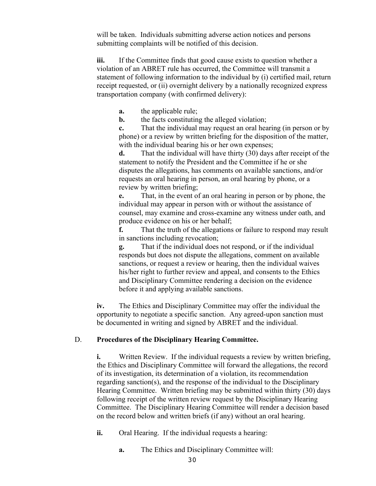will be taken. Individuals submitting adverse action notices and persons submitting complaints will be notified of this decision.

**iii.** If the Committee finds that good cause exists to question whether a violation of an ABRET rule has occurred, the Committee will transmit a statement of following information to the individual by (i) certified mail, return receipt requested, or (ii) overnight delivery by a nationally recognized express transportation company (with confirmed delivery):

**a.** the applicable rule;

**b.** the facts constituting the alleged violation;

**c.** That the individual may request an oral hearing (in person or by phone) or a review by written briefing for the disposition of the matter, with the individual bearing his or her own expenses;

**d.** That the individual will have thirty (30) days after receipt of the statement to notify the President and the Committee if he or she disputes the allegations, has comments on available sanctions, and/or requests an oral hearing in person, an oral hearing by phone, or a review by written briefing;

**e.** That, in the event of an oral hearing in person or by phone, the individual may appear in person with or without the assistance of counsel, may examine and cross-examine any witness under oath, and produce evidence on his or her behalf;

**f.** That the truth of the allegations or failure to respond may result in sanctions including revocation;

**g.** That if the individual does not respond, or if the individual responds but does not dispute the allegations, comment on available sanctions, or request a review or hearing, then the individual waives his/her right to further review and appeal, and consents to the Ethics and Disciplinary Committee rendering a decision on the evidence before it and applying available sanctions.

**iv.** The Ethics and Disciplinary Committee may offer the individual the opportunity to negotiate a specific sanction. Any agreed-upon sanction must be documented in writing and signed by ABRET and the individual.

## D. **Procedures of the Disciplinary Hearing Committee.**

**i.** Written Review. If the individual requests a review by written briefing, the Ethics and Disciplinary Committee will forward the allegations, the record of its investigation, its determination of a violation, its recommendation regarding sanction(s), and the response of the individual to the Disciplinary Hearing Committee. Written briefing may be submitted within thirty (30) days following receipt of the written review request by the Disciplinary Hearing Committee. The Disciplinary Hearing Committee will render a decision based on the record below and written briefs (if any) without an oral hearing.

**ii.** Oral Hearing. If the individual requests a hearing:

**a.** The Ethics and Disciplinary Committee will: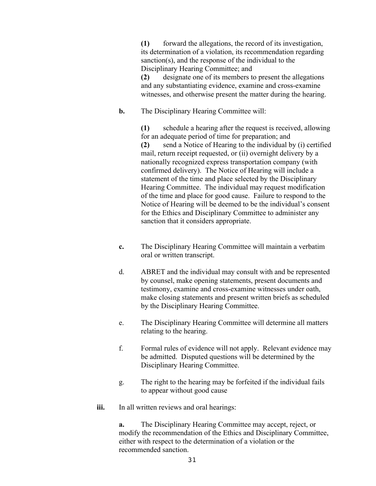**(1)** forward the allegations, the record of its investigation, its determination of a violation, its recommendation regarding sanction(s), and the response of the individual to the Disciplinary Hearing Committee; and

**(2)** designate one of its members to present the allegations and any substantiating evidence, examine and cross-examine witnesses, and otherwise present the matter during the hearing.

## **b.** The Disciplinary Hearing Committee will:

**(1)** schedule a hearing after the request is received, allowing for an adequate period of time for preparation; and **(2)** send a Notice of Hearing to the individual by (i) certified mail, return receipt requested, or (ii) overnight delivery by a nationally recognized express transportation company (with confirmed delivery). The Notice of Hearing will include a statement of the time and place selected by the Disciplinary Hearing Committee. The individual may request modification of the time and place for good cause. Failure to respond to the Notice of Hearing will be deemed to be the individual's consent for the Ethics and Disciplinary Committee to administer any sanction that it considers appropriate.

- **c.** The Disciplinary Hearing Committee will maintain a verbatim oral or written transcript.
- d. ABRET and the individual may consult with and be represented by counsel, make opening statements, present documents and testimony, examine and cross-examine witnesses under oath, make closing statements and present written briefs as scheduled by the Disciplinary Hearing Committee.
- e. The Disciplinary Hearing Committee will determine all matters relating to the hearing.
- f. Formal rules of evidence will not apply. Relevant evidence may be admitted. Disputed questions will be determined by the Disciplinary Hearing Committee.
- g. The right to the hearing may be forfeited if the individual fails to appear without good cause
- iii. In all written reviews and oral hearings:

**a.** The Disciplinary Hearing Committee may accept, reject, or modify the recommendation of the Ethics and Disciplinary Committee, either with respect to the determination of a violation or the recommended sanction.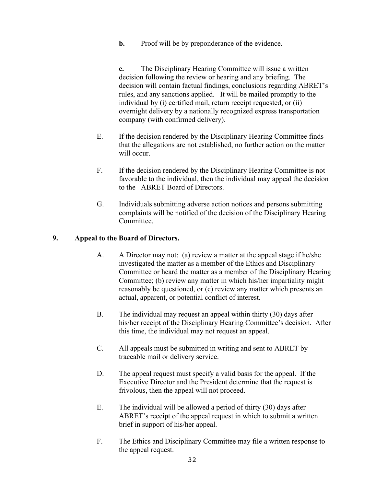**b.** Proof will be by preponderance of the evidence.

**c.** The Disciplinary Hearing Committee will issue a written decision following the review or hearing and any briefing. The decision will contain factual findings, conclusions regarding ABRET's rules, and any sanctions applied. It will be mailed promptly to the individual by (i) certified mail, return receipt requested, or (ii) overnight delivery by a nationally recognized express transportation company (with confirmed delivery).

- E. If the decision rendered by the Disciplinary Hearing Committee finds that the allegations are not established, no further action on the matter will occur.
- F. If the decision rendered by the Disciplinary Hearing Committee is not favorable to the individual, then the individual may appeal the decision to the ABRET Board of Directors.
- G. Individuals submitting adverse action notices and persons submitting complaints will be notified of the decision of the Disciplinary Hearing Committee.

## **9. Appeal to the Board of Directors.**

- A. A Director may not: (a) review a matter at the appeal stage if he/she investigated the matter as a member of the Ethics and Disciplinary Committee or heard the matter as a member of the Disciplinary Hearing Committee; (b) review any matter in which his/her impartiality might reasonably be questioned, or (c) review any matter which presents an actual, apparent, or potential conflict of interest.
- B. The individual may request an appeal within thirty (30) days after his/her receipt of the Disciplinary Hearing Committee's decision. After this time, the individual may not request an appeal.
- C. All appeals must be submitted in writing and sent to ABRET by traceable mail or delivery service.
- D. The appeal request must specify a valid basis for the appeal. If the Executive Director and the President determine that the request is frivolous, then the appeal will not proceed.
- E. The individual will be allowed a period of thirty (30) days after ABRET's receipt of the appeal request in which to submit a written brief in support of his/her appeal.
- F. The Ethics and Disciplinary Committee may file a written response to the appeal request.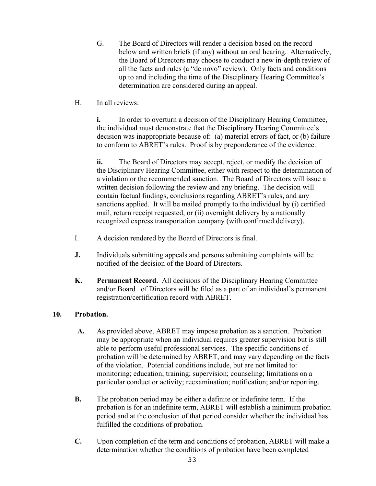- G. The Board of Directors will render a decision based on the record below and written briefs (if any) without an oral hearing. Alternatively, the Board of Directors may choose to conduct a new in-depth review of all the facts and rules (a "de novo" review). Only facts and conditions up to and including the time of the Disciplinary Hearing Committee's determination are considered during an appeal.
- H. In all reviews:

**i.** In order to overturn a decision of the Disciplinary Hearing Committee, the individual must demonstrate that the Disciplinary Hearing Committee's decision was inappropriate because of: (a) material errors of fact, or (b) failure to conform to ABRET's rules. Proof is by preponderance of the evidence.

**ii.** The Board of Directors may accept, reject, or modify the decision of the Disciplinary Hearing Committee, either with respect to the determination of a violation or the recommended sanction. The Board of Directors will issue a written decision following the review and any briefing. The decision will contain factual findings, conclusions regarding ABRET's rules, and any sanctions applied. It will be mailed promptly to the individual by (i) certified mail, return receipt requested, or (ii) overnight delivery by a nationally recognized express transportation company (with confirmed delivery).

- I. A decision rendered by the Board of Directors is final.
- **J.** Individuals submitting appeals and persons submitting complaints will be notified of the decision of the Board of Directors.
- **K. Permanent Record.** All decisions of the Disciplinary Hearing Committee and/or Board of Directors will be filed as a part of an individual's permanent registration/certification record with ABRET.

## **10. Probation.**

- **A.** As provided above, ABRET may impose probation as a sanction. Probation may be appropriate when an individual requires greater supervision but is still able to perform useful professional services. The specific conditions of probation will be determined by ABRET, and may vary depending on the facts of the violation. Potential conditions include, but are not limited to: monitoring; education; training; supervision; counseling; limitations on a particular conduct or activity; reexamination; notification; and/or reporting.
- **B.** The probation period may be either a definite or indefinite term. If the probation is for an indefinite term, ABRET will establish a minimum probation period and at the conclusion of that period consider whether the individual has fulfilled the conditions of probation.
- **C.** Upon completion of the term and conditions of probation, ABRET will make a determination whether the conditions of probation have been completed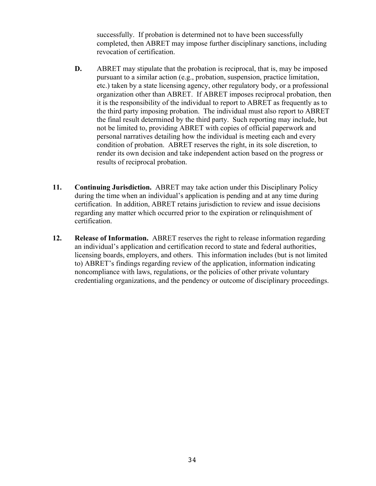successfully. If probation is determined not to have been successfully completed, then ABRET may impose further disciplinary sanctions, including revocation of certification.

- **D.** ABRET may stipulate that the probation is reciprocal, that is, may be imposed pursuant to a similar action (e.g., probation, suspension, practice limitation, etc.) taken by a state licensing agency, other regulatory body, or a professional organization other than ABRET. If ABRET imposes reciprocal probation, then it is the responsibility of the individual to report to ABRET as frequently as to the third party imposing probation. The individual must also report to ABRET the final result determined by the third party. Such reporting may include, but not be limited to, providing ABRET with copies of official paperwork and personal narratives detailing how the individual is meeting each and every condition of probation. ABRET reserves the right, in its sole discretion, to render its own decision and take independent action based on the progress or results of reciprocal probation.
- **11. Continuing Jurisdiction.** ABRET may take action under this Disciplinary Policy during the time when an individual's application is pending and at any time during certification. In addition, ABRET retains jurisdiction to review and issue decisions regarding any matter which occurred prior to the expiration or relinquishment of certification.
- **12. Release of Information.** ABRET reserves the right to release information regarding an individual's application and certification record to state and federal authorities, licensing boards, employers, and others. This information includes (but is not limited to) ABRET's findings regarding review of the application, information indicating noncompliance with laws, regulations, or the policies of other private voluntary credentialing organizations, and the pendency or outcome of disciplinary proceedings.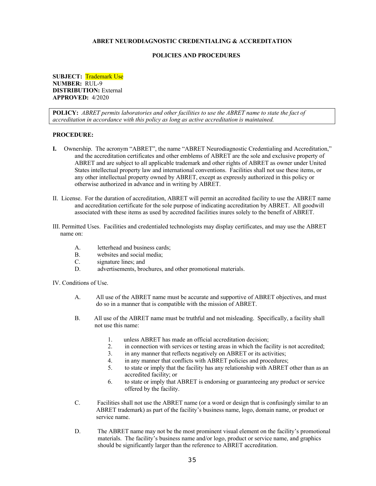#### **POLICIES AND PROCEDURES**

**SUBJECT:** Trademark Use **NUMBER:** RUL-9 **DISTRIBUTION:** External **APPROVED:** 4/2020

**POLICY:** *ABRET permits laboratories and other facilities to use the ABRET name to state the fact of accreditation in accordance with this policy as long as active accreditation is maintained.*

#### **PROCEDURE:**

- **I.** Ownership. The acronym "ABRET", the name "ABRET Neurodiagnostic Credentialing and Accreditation," and the accreditation certificates and other emblems of ABRET are the sole and exclusive property of ABRET and are subject to all applicable trademark and other rights of ABRET as owner under United States intellectual property law and international conventions. Facilities shall not use these items, or any other intellectual property owned by ABRET, except as expressly authorized in this policy or otherwise authorized in advance and in writing by ABRET.
- II. License. For the duration of accreditation, ABRET will permit an accredited facility to use the ABRET name and accreditation certificate for the sole purpose of indicating accreditation by ABRET. All goodwill associated with these items as used by accredited facilities inures solely to the benefit of ABRET.
- III. Permitted Uses. Facilities and credentialed technologists may display certificates, and may use the ABRET name on:
	- A. letterhead and business cards;
	- B. websites and social media;
	- C. signature lines; and
	- D. advertisements, brochures, and other promotional materials.

IV. Conditions of Use.

- A. All use of the ABRET name must be accurate and supportive of ABRET objectives, and must do so in a manner that is compatible with the mission of ABRET.
- B. All use of the ABRET name must be truthful and not misleading. Specifically, a facility shall not use this name:
	- 1. unless ABRET has made an official accreditation decision;
	- 2. in connection with services or testing areas in which the facility is not accredited;
	- 3. in any manner that reflects negatively on ABRET or its activities;
	- 4. in any manner that conflicts with ABRET policies and procedures;
	- 5. to state or imply that the facility has any relationship with ABRET other than as an accredited facility; or
	- 6. to state or imply that ABRET is endorsing or guaranteeing any product or service offered by the facility.
- C. Facilities shall not use the ABRET name (or a word or design that is confusingly similar to an ABRET trademark) as part of the facility's business name, logo, domain name, or product or service name.
- D. The ABRET name may not be the most prominent visual element on the facility's promotional materials. The facility's business name and/or logo, product or service name, and graphics should be significantly larger than the reference to ABRET accreditation.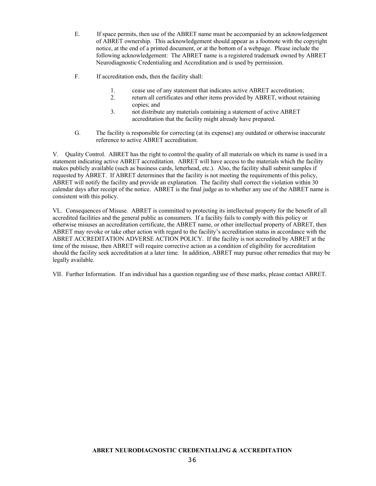- E. If space permits, then use of the ABRET name must be accompanied by an acknowledgement of ABRET ownership. This acknowledgement should appear as a footnote with the copyright notice, at the end of a printed document, or at the bottom of a webpage. Please include the following acknowledgement: The ABRET name is a registered trademark owned by ABRET Neurodiagnostic Credentialing and Accreditation and is used by permission.
- F. If accreditation ends, then the facility shall:
	- 1. cease use of any statement that indicates active ABRET accreditation;
	- 2. return all certificates and other items provided by ABRET, without retaining copies; and
	- 3. not distribute any materials containing a statement of active ABRET accreditation that the facility might already have prepared.
- G. The facility is responsible for correcting (at its expense) any outdated or otherwise inaccurate reference to active ABRET accreditation.

V. Quality Control. ABRET has the right to control the quality of all materials on which its name is used in a statement indicating active ABRET accreditation. ABRET will have access to the materials which the facility makes publicly available (such as business cards, letterhead, etc.). Also, the facility shall submit samples if requested by ABRET. If ABRET determines that the facility is not meeting the requirements of this policy, ABRET will notify the facility and provide an explanation. The facility shall correct the violation within 30 calendar days after receipt of the notice. ABRET is the final judge as to whether any use of the ABRET name is consistent with this policy.

VL. Consequences of Misuse. ABRET is committed to protecting its intellectual property for the benefit of all accredited facilities and the general public as consumers. If a facility fails to comply with this policy or otherwise misuses an accreditation certificate, the ABRET name, or other intellectual property of ABRET, then ABRET may revoke or take other action with regard to the facility's accreditation status in accordance with the ABRET ACCREDITATION ADVERSE ACTION POLICY. If the facility is not accredited by ABRET at the time of the misuse, then ABRET will require corrective action as a condition of eligibility for accreditation should the facility seek accreditation at a later time. In addition, ABRET may pursue other remedies that may be legally available.

VII. Further Information. If an individual has a question regarding use of these marks, please contact ABRET.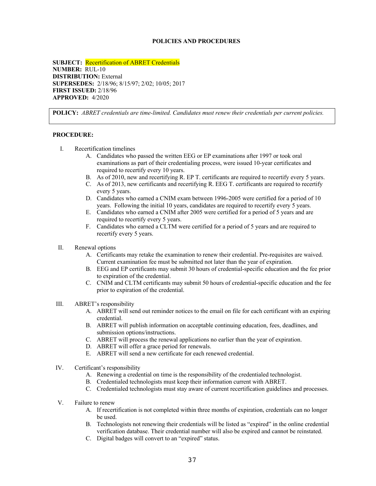#### **POLICIES AND PROCEDURES**

**SUBJECT:** Recertification of ABRET Credentials **NUMBER:** RUL-10 **DISTRIBUTION:** External **SUPERSEDES:** 2/18/96; 8/15/97; 2/02; 10/05; 2017 **FIRST ISSUED:** 2/18/96 **APPROVED:** 4/2020

**POLICY:** *ABRET credentials are time-limited. Candidates must renew their credentials per current policies.*

- I. Recertification timelines
	- A. Candidates who passed the written EEG or EP examinations after 1997 or took oral examinations as part of their credentialing process, were issued 10-year certificates and required to recertify every 10 years.
	- B. As of 2010, new and recertifying R. EP T. certificants are required to recertify every 5 years.
	- C. As of 2013, new certificants and recertifying R. EEG T. certificants are required to recertify every 5 years.
	- D. Candidates who earned a CNIM exam between 1996-2005 were certified for a period of 10 years. Following the initial 10 years, candidates are required to recertify every 5 years.
	- E. Candidates who earned a CNIM after 2005 were certified for a period of 5 years and are required to recertify every 5 years.
	- F. Candidates who earned a CLTM were certified for a period of 5 years and are required to recertify every 5 years.
- II. Renewal options
	- A. Certificants may retake the examination to renew their credential. Pre-requisites are waived. Current examination fee must be submitted not later than the year of expiration.
	- B. EEG and EP certificants may submit 30 hours of credential-specific education and the fee prior to expiration of the credential.
	- C. CNIM and CLTM certificants may submit 50 hours of credential-specific education and the fee prior to expiration of the credential.
- III. ABRET's responsibility
	- A. ABRET will send out reminder notices to the email on file for each certificant with an expiring credential.
	- B. ABRET will publish information on acceptable continuing education, fees, deadlines, and submission options/instructions.
	- C. ABRET will process the renewal applications no earlier than the year of expiration.
	- D. ABRET will offer a grace period for renewals.
	- E. ABRET will send a new certificate for each renewed credential.
- IV. Certificant's responsibility
	- A. Renewing a credential on time is the responsibility of the credentialed technologist.
	- B. Credentialed technologists must keep their information current with ABRET.
	- C. Credentialed technologists must stay aware of current recertification guidelines and processes.
- V. Failure to renew
	- A. If recertification is not completed within three months of expiration, credentials can no longer be used.
	- B. Technologists not renewing their credentials will be listed as "expired" in the online credential verification database. Their credential number will also be expired and cannot be reinstated.
	- C. Digital badges will convert to an "expired" status.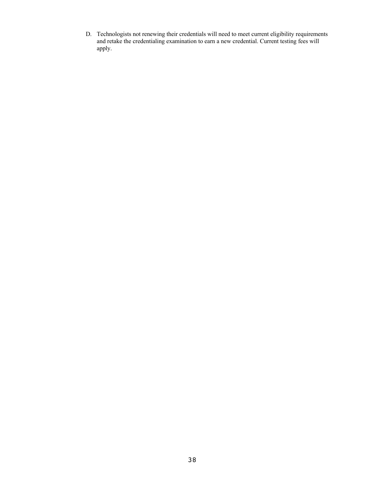D. Technologists not renewing their credentials will need to meet current eligibility requirements and retake the credentialing examination to earn a new credential. Current testing fees will apply.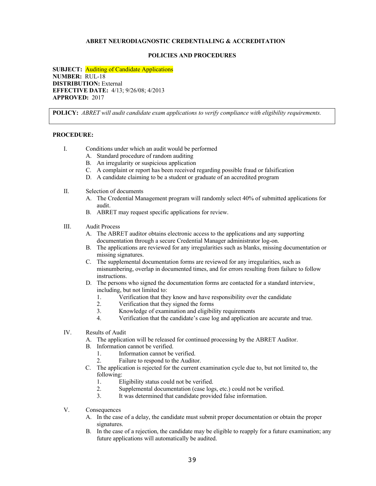#### **POLICIES AND PROCEDURES**

**SUBJECT:** Auditing of Candidate Applications **NUMBER:** RUL-18 **DISTRIBUTION:** External **EFFECTIVE DATE:** 4/13; 9/26/08; 4/2013 **APPROVED:** 2017

**POLICY:** *ABRET will audit candidate exam applications to verify compliance with eligibility requirements.*

- I. Conditions under which an audit would be performed
	- A. Standard procedure of random auditing
	- B. An irregularity or suspicious application
	- C. A complaint or report has been received regarding possible fraud or falsification
	- D. A candidate claiming to be a student or graduate of an accredited program
- II. Selection of documents
	- A. The Credential Management program will randomly select 40% of submitted applications for audit.
	- B. ABRET may request specific applications for review.
- III. Audit Process
	- A. The ABRET auditor obtains electronic access to the applications and any supporting documentation through a secure Credential Manager administrator log-on.
	- B. The applications are reviewed for any irregularities such as blanks, missing documentation or missing signatures.
	- C. The supplemental documentation forms are reviewed for any irregularities, such as misnumbering, overlap in documented times, and for errors resulting from failure to follow instructions.
	- D. The persons who signed the documentation forms are contacted for a standard interview, including, but not limited to:
		- 1. Verification that they know and have responsibility over the candidate<br>2. Verification that they signed the forms
		- Verification that they signed the forms
		- 3. Knowledge of examination and eligibility requirements
		- 4. Verification that the candidate's case log and application are accurate and true.
- IV. Results of Audit
	- A. The application will be released for continued processing by the ABRET Auditor.
	- B. Information cannot be verified.
		- 1. Information cannot be verified.
		- 2. Failure to respond to the Auditor.
	- C. The application is rejected for the current examination cycle due to, but not limited to, the following:
		- 1. Eligibility status could not be verified.
		- 2. Supplemental documentation (case logs, etc.) could not be verified.
		- 3. It was determined that candidate provided false information.
- V. Consequences
	- A. In the case of a delay, the candidate must submit proper documentation or obtain the proper signatures.
	- B. In the case of a rejection, the candidate may be eligible to reapply for a future examination; any future applications will automatically be audited.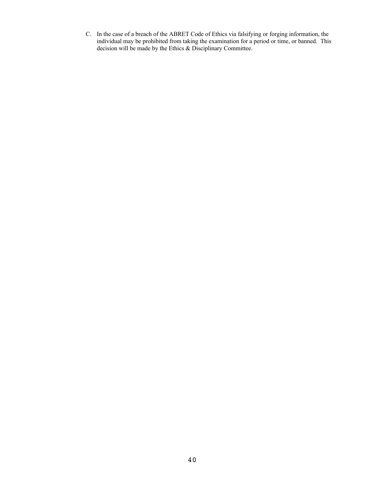C. In the case of a breach of the ABRET Code of Ethics via falsifying or forging information, the individual may be prohibited from taking the examination for a period or time, or banned. This decision will be made by the Ethics & Disciplinary Committee.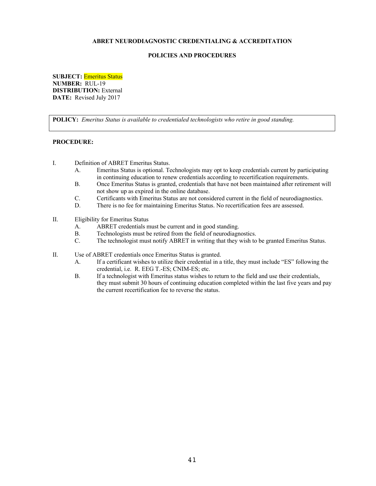#### **POLICIES AND PROCEDURES**

**SUBJECT:** Emeritus Status **NUMBER:** RUL-19 **DISTRIBUTION:** External **DATE:** Revised July 2017

**POLICY:** *Emeritus Status is available to credentialed technologists who retire in good standing.*

- I. Definition of ABRET Emeritus Status.
	- A. Emeritus Status is optional. Technologists may opt to keep credentials current by participating in continuing education to renew credentials according to recertification requirements.
	- B. Once Emeritus Status is granted, credentials that have not been maintained after retirement will not show up as expired in the online database.
	- C. Certificants with Emeritus Status are not considered current in the field of neurodiagnostics.
	- D. There is no fee for maintaining Emeritus Status. No recertification fees are assessed.
- II. Eligibility for Emeritus Status
	- A. ABRET credentials must be current and in good standing.
	- B. Technologists must be retired from the field of neurodiagnostics.
	- C. The technologist must notify ABRET in writing that they wish to be granted Emeritus Status.
- II. Use of ABRET credentials once Emeritus Status is granted.
	- A. If a certificant wishes to utilize their credential in a title, they must include "ES" following the credential, i.e. R. EEG T.-ES; CNIM-ES; etc.
	- B. If a technologist with Emeritus status wishes to return to the field and use their credentials, they must submit 30 hours of continuing education completed within the last five years and pay the current recertification fee to reverse the status.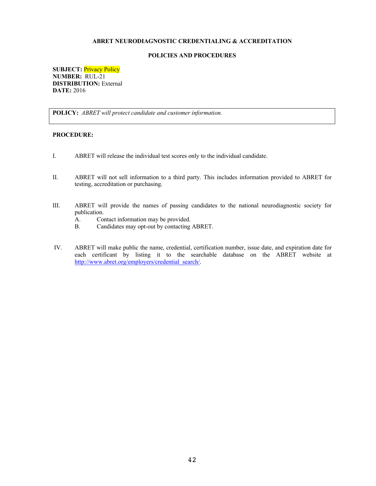#### **POLICIES AND PROCEDURES**

**SUBJECT:** Privacy Policy **NUMBER:** RUL-21 **DISTRIBUTION:** External **DATE:** 2016

**POLICY:** *ABRET will protect candidate and customer information.*

- I. ABRET will release the individual test scores only to the individual candidate.
- II. ABRET will not sell information to a third party. This includes information provided to ABRET for testing, accreditation or purchasing.
- III. ABRET will provide the names of passing candidates to the national neurodiagnostic society for publication.
	- A. Contact information may be provided.
	- B. Candidates may opt-out by contacting ABRET.
- IV. ABRET will make public the name, credential, certification number, issue date, and expiration date for each certificant by listing it to the searchable database on the ABRET website at http://www.abret.org/employers/credential\_search/.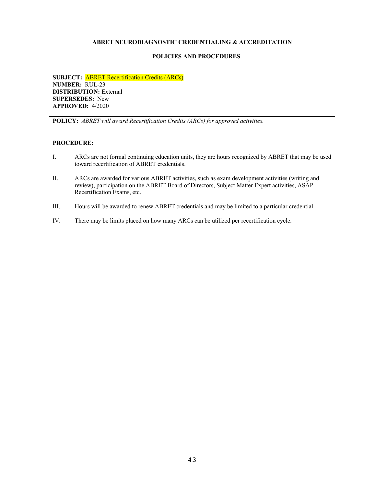#### **POLICIES AND PROCEDURES**

**SUBJECT:** ABRET Recertification Credits (ARCs) **NUMBER:** RUL-23 **DISTRIBUTION:** External **SUPERSEDES:** New **APPROVED:** 4/2020

**POLICY:** *ABRET will award Recertification Credits (ARCs) for approved activities.*

- I. ARCs are not formal continuing education units, they are hours recognized by ABRET that may be used toward recertification of ABRET credentials.
- II. ARCs are awarded for various ABRET activities, such as exam development activities (writing and review), participation on the ABRET Board of Directors, Subject Matter Expert activities, ASAP Recertification Exams, etc.
- III. Hours will be awarded to renew ABRET credentials and may be limited to a particular credential.
- IV. There may be limits placed on how many ARCs can be utilized per recertification cycle.